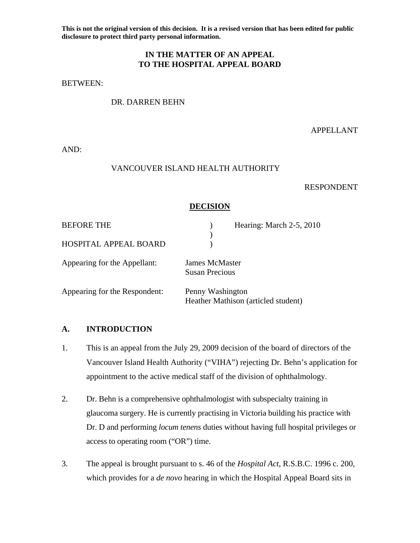**This is not the original version of this decision. It is a revised version that has been edited for public disclosure to protect third party personal information.** 

## **IN THE MATTER OF AN APPEAL TO THE HOSPITAL APPEAL BOARD**

BETWEEN:

## DR. DARREN BEHN

APPELLANT

AND:

#### VANCOUVER ISLAND HEALTH AUTHORITY

#### RESPONDENT

### **DECISION**

| <b>BEFORE THE</b>             | Hearing: March 2-5, 2010                                |
|-------------------------------|---------------------------------------------------------|
| HOSPITAL APPEAL BOARD         |                                                         |
| Appearing for the Appellant:  | James McMaster<br><b>Susan Precious</b>                 |
| Appearing for the Respondent: | Penny Washington<br>Heather Mathison (articled student) |

### **A. INTRODUCTION**

- 1. This is an appeal from the July 29, 2009 decision of the board of directors of the Vancouver Island Health Authority ("VIHA") rejecting Dr. Behn's application for appointment to the active medical staff of the division of ophthalmology.
- 2. Dr. Behn is a comprehensive ophthalmologist with subspecialty training in glaucoma surgery. He is currently practising in Victoria building his practice with Dr. D and performing *locum tenens* duties without having full hospital privileges or access to operating room ("OR") time.
- 3. The appeal is brought pursuant to s. 46 of the *Hospital Act*, R.S.B.C. 1996 c. 200, which provides for a *de novo* hearing in which the Hospital Appeal Board sits in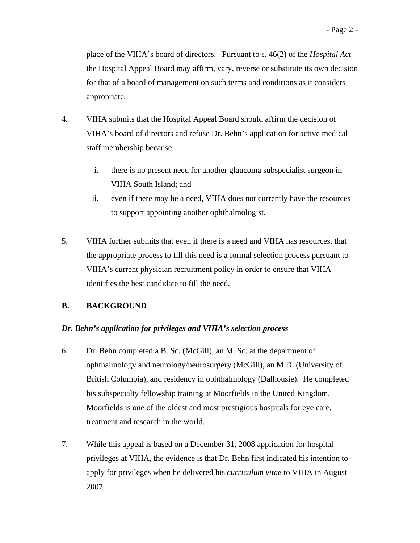place of the VIHA's board of directors. Pursuant to s. 46(2) of the *Hospital Act* the Hospital Appeal Board may affirm, vary, reverse or substitute its own decision for that of a board of management on such terms and conditions as it considers appropriate.

- 4. VIHA submits that the Hospital Appeal Board should affirm the decision of VIHA's board of directors and refuse Dr. Behn's application for active medical staff membership because:
	- i. there is no present need for another glaucoma subspecialist surgeon in VIHA South Island; and
	- ii. even if there may be a need, VIHA does not currently have the resources to support appointing another ophthalmologist.
- 5. VIHA further submits that even if there is a need and VIHA has resources, that the appropriate process to fill this need is a formal selection process pursuant to VIHA's current physician recruitment policy in order to ensure that VIHA identifies the best candidate to fill the need.

# **B. BACKGROUND**

# *Dr. Behn's application for privileges and VIHA's selection process*

- 6. Dr. Behn completed a B. Sc. (McGill), an M. Sc. at the department of ophthalmology and neurology/neurosurgery (McGill), an M.D. (University of British Columbia), and residency in ophthalmology (Dalhousie). He completed his subspecialty fellowship training at Moorfields in the United Kingdom. Moorfields is one of the oldest and most prestigious hospitals for eye care, treatment and research in the world.
- 7. While this appeal is based on a December 31, 2008 application for hospital privileges at VIHA, the evidence is that Dr. Behn first indicated his intention to apply for privileges when he delivered his *curriculum vitae* to VIHA in August 2007.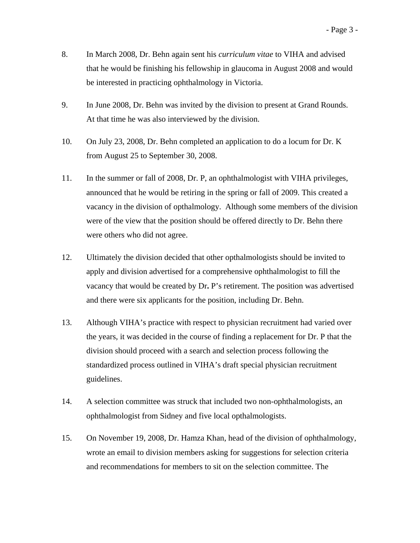- 8. In March 2008, Dr. Behn again sent his *curriculum vitae* to VIHA and advised that he would be finishing his fellowship in glaucoma in August 2008 and would be interested in practicing ophthalmology in Victoria.
- 9. In June 2008, Dr. Behn was invited by the division to present at Grand Rounds. At that time he was also interviewed by the division.
- 10. On July 23, 2008, Dr. Behn completed an application to do a locum for Dr. K from August 25 to September 30, 2008.
- 11. In the summer or fall of 2008, Dr. P, an ophthalmologist with VIHA privileges, announced that he would be retiring in the spring or fall of 2009. This created a vacancy in the division of opthalmology. Although some members of the division were of the view that the position should be offered directly to Dr. Behn there were others who did not agree.
- 12. Ultimately the division decided that other opthalmologists should be invited to apply and division advertised for a comprehensive ophthalmologist to fill the vacancy that would be created by Dr**.** P's retirement. The position was advertised and there were six applicants for the position, including Dr. Behn.
- 13. Although VIHA's practice with respect to physician recruitment had varied over the years, it was decided in the course of finding a replacement for Dr. P that the division should proceed with a search and selection process following the standardized process outlined in VIHA's draft special physician recruitment guidelines.
- 14. A selection committee was struck that included two non-ophthalmologists, an ophthalmologist from Sidney and five local opthalmologists.
- 15. On November 19, 2008, Dr. Hamza Khan, head of the division of ophthalmology, wrote an email to division members asking for suggestions for selection criteria and recommendations for members to sit on the selection committee. The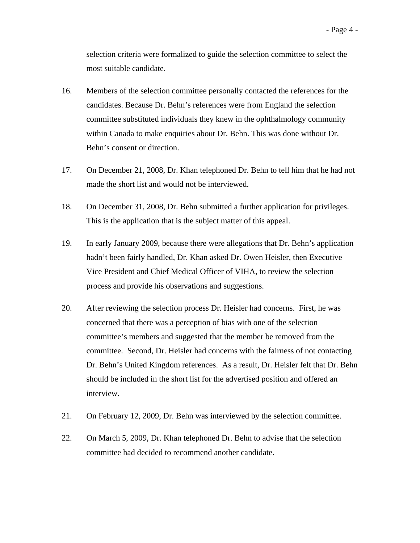- 16. Members of the selection committee personally contacted the references for the candidates. Because Dr. Behn's references were from England the selection committee substituted individuals they knew in the ophthalmology community within Canada to make enquiries about Dr. Behn. This was done without Dr. Behn's consent or direction.
- 17. On December 21, 2008, Dr. Khan telephoned Dr. Behn to tell him that he had not made the short list and would not be interviewed.
- 18. On December 31, 2008, Dr. Behn submitted a further application for privileges. This is the application that is the subject matter of this appeal.
- 19. In early January 2009, because there were allegations that Dr. Behn's application hadn't been fairly handled, Dr. Khan asked Dr. Owen Heisler, then Executive Vice President and Chief Medical Officer of VIHA, to review the selection process and provide his observations and suggestions.
- 20. After reviewing the selection process Dr. Heisler had concerns. First, he was concerned that there was a perception of bias with one of the selection committee's members and suggested that the member be removed from the committee. Second, Dr. Heisler had concerns with the fairness of not contacting Dr. Behn's United Kingdom references. As a result, Dr. Heisler felt that Dr. Behn should be included in the short list for the advertised position and offered an interview.
- 21. On February 12, 2009, Dr. Behn was interviewed by the selection committee.
- 22. On March 5, 2009, Dr. Khan telephoned Dr. Behn to advise that the selection committee had decided to recommend another candidate.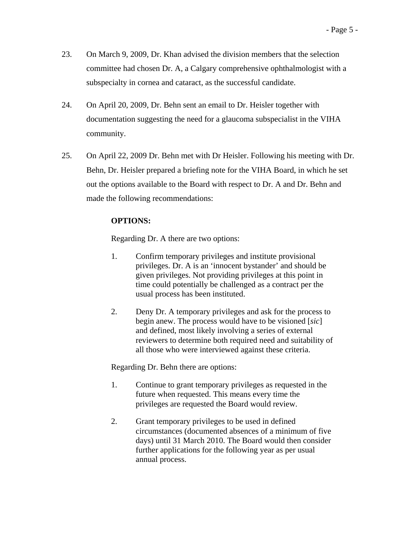- 23. On March 9, 2009, Dr. Khan advised the division members that the selection committee had chosen Dr. A, a Calgary comprehensive ophthalmologist with a subspecialty in cornea and cataract, as the successful candidate.
- 24. On April 20, 2009, Dr. Behn sent an email to Dr. Heisler together with documentation suggesting the need for a glaucoma subspecialist in the VIHA community.
- 25. On April 22, 2009 Dr. Behn met with Dr Heisler. Following his meeting with Dr. Behn, Dr. Heisler prepared a briefing note for the VIHA Board, in which he set out the options available to the Board with respect to Dr. A and Dr. Behn and made the following recommendations:

## **OPTIONS:**

Regarding Dr. A there are two options:

- 1. Confirm temporary privileges and institute provisional privileges. Dr. A is an 'innocent bystander' and should be given privileges. Not providing privileges at this point in time could potentially be challenged as a contract per the usual process has been instituted.
- 2. Deny Dr. A temporary privileges and ask for the process to begin anew. The process would have to be visioned [*sic*] and defined, most likely involving a series of external reviewers to determine both required need and suitability of all those who were interviewed against these criteria.

Regarding Dr. Behn there are options:

- 1. Continue to grant temporary privileges as requested in the future when requested. This means every time the privileges are requested the Board would review.
- 2. Grant temporary privileges to be used in defined circumstances (documented absences of a minimum of five days) until 31 March 2010. The Board would then consider further applications for the following year as per usual annual process.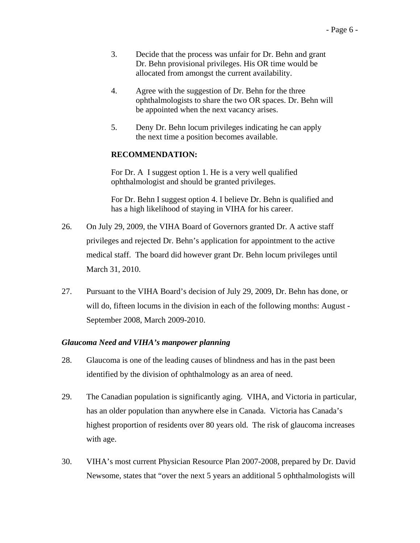- 3. Decide that the process was unfair for Dr. Behn and grant Dr. Behn provisional privileges. His OR time would be allocated from amongst the current availability.
- 4. Agree with the suggestion of Dr. Behn for the three ophthalmologists to share the two OR spaces. Dr. Behn will be appointed when the next vacancy arises.
- 5. Deny Dr. Behn locum privileges indicating he can apply the next time a position becomes available.

### **RECOMMENDATION:**

For Dr. A I suggest option 1. He is a very well qualified ophthalmologist and should be granted privileges.

For Dr. Behn I suggest option 4. I believe Dr. Behn is qualified and has a high likelihood of staying in VIHA for his career.

- 26. On July 29, 2009, the VIHA Board of Governors granted Dr. A active staff privileges and rejected Dr. Behn's application for appointment to the active medical staff. The board did however grant Dr. Behn locum privileges until March 31, 2010.
- 27. Pursuant to the VIHA Board's decision of July 29, 2009, Dr. Behn has done, or will do, fifteen locums in the division in each of the following months: August - September 2008, March 2009-2010.

### *Glaucoma Need and VIHA's manpower planning*

- 28. Glaucoma is one of the leading causes of blindness and has in the past been identified by the division of ophthalmology as an area of need.
- 29. The Canadian population is significantly aging. VIHA, and Victoria in particular, has an older population than anywhere else in Canada. Victoria has Canada's highest proportion of residents over 80 years old. The risk of glaucoma increases with age.
- 30. VIHA's most current Physician Resource Plan 2007-2008, prepared by Dr. David Newsome, states that "over the next 5 years an additional 5 ophthalmologists will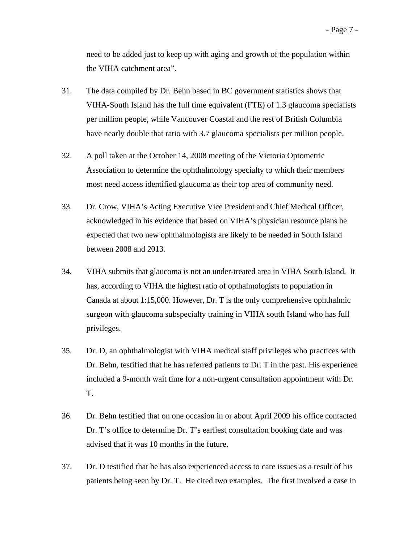need to be added just to keep up with aging and growth of the population within the VIHA catchment area".

- 31. The data compiled by Dr. Behn based in BC government statistics shows that VIHA-South Island has the full time equivalent (FTE) of 1.3 glaucoma specialists per million people, while Vancouver Coastal and the rest of British Columbia have nearly double that ratio with 3.7 glaucoma specialists per million people.
- 32. A poll taken at the October 14, 2008 meeting of the Victoria Optometric Association to determine the ophthalmology specialty to which their members most need access identified glaucoma as their top area of community need.
- 33. Dr. Crow, VIHA's Acting Executive Vice President and Chief Medical Officer, acknowledged in his evidence that based on VIHA's physician resource plans he expected that two new ophthalmologists are likely to be needed in South Island between 2008 and 2013.
- 34. VIHA submits that glaucoma is not an under-treated area in VIHA South Island. It has, according to VIHA the highest ratio of opthalmologists to population in Canada at about 1:15,000. However, Dr. T is the only comprehensive ophthalmic surgeon with glaucoma subspecialty training in VIHA south Island who has full privileges.
- 35. Dr. D, an ophthalmologist with VIHA medical staff privileges who practices with Dr. Behn, testified that he has referred patients to Dr. T in the past. His experience included a 9-month wait time for a non-urgent consultation appointment with Dr. T.
- 36. Dr. Behn testified that on one occasion in or about April 2009 his office contacted Dr. T's office to determine Dr. T's earliest consultation booking date and was advised that it was 10 months in the future.
- 37. Dr. D testified that he has also experienced access to care issues as a result of his patients being seen by Dr. T. He cited two examples. The first involved a case in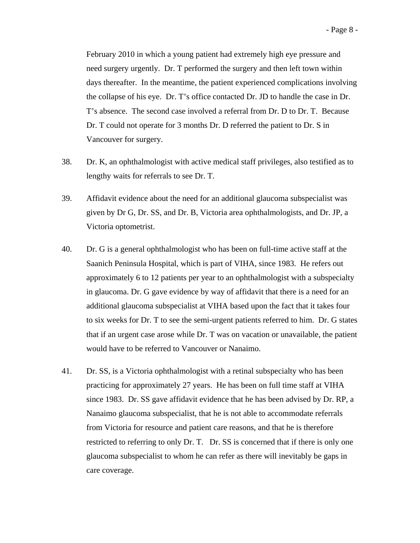February 2010 in which a young patient had extremely high eye pressure and need surgery urgently. Dr. T performed the surgery and then left town within days thereafter. In the meantime, the patient experienced complications involving the collapse of his eye. Dr. T's office contacted Dr. JD to handle the case in Dr. T's absence. The second case involved a referral from Dr. D to Dr. T. Because Dr. T could not operate for 3 months Dr. D referred the patient to Dr. S in Vancouver for surgery.

- 38. Dr. K, an ophthalmologist with active medical staff privileges, also testified as to lengthy waits for referrals to see Dr. T.
- 39. Affidavit evidence about the need for an additional glaucoma subspecialist was given by Dr G, Dr. SS, and Dr. B, Victoria area ophthalmologists, and Dr. JP, a Victoria optometrist.
- 40. Dr. G is a general ophthalmologist who has been on full-time active staff at the Saanich Peninsula Hospital, which is part of VIHA, since 1983. He refers out approximately 6 to 12 patients per year to an ophthalmologist with a subspecialty in glaucoma. Dr. G gave evidence by way of affidavit that there is a need for an additional glaucoma subspecialist at VIHA based upon the fact that it takes four to six weeks for Dr. T to see the semi-urgent patients referred to him. Dr. G states that if an urgent case arose while Dr. T was on vacation or unavailable, the patient would have to be referred to Vancouver or Nanaimo.
- 41. Dr. SS, is a Victoria ophthalmologist with a retinal subspecialty who has been practicing for approximately 27 years. He has been on full time staff at VIHA since 1983. Dr. SS gave affidavit evidence that he has been advised by Dr. RP, a Nanaimo glaucoma subspecialist, that he is not able to accommodate referrals from Victoria for resource and patient care reasons, and that he is therefore restricted to referring to only Dr. T. Dr. SS is concerned that if there is only one glaucoma subspecialist to whom he can refer as there will inevitably be gaps in care coverage.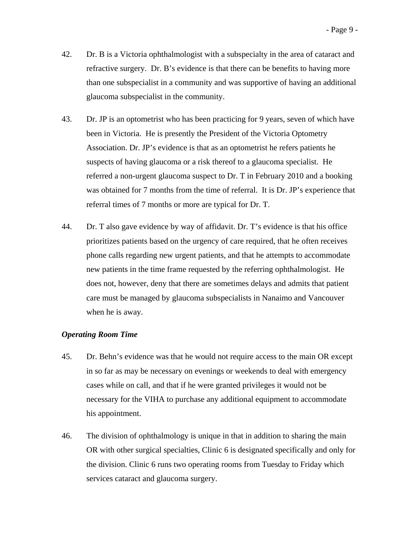- 42. Dr. B is a Victoria ophthalmologist with a subspecialty in the area of cataract and refractive surgery. Dr. B's evidence is that there can be benefits to having more than one subspecialist in a community and was supportive of having an additional glaucoma subspecialist in the community.
- 43. Dr. JP is an optometrist who has been practicing for 9 years, seven of which have been in Victoria. He is presently the President of the Victoria Optometry Association. Dr. JP's evidence is that as an optometrist he refers patients he suspects of having glaucoma or a risk thereof to a glaucoma specialist. He referred a non-urgent glaucoma suspect to Dr. T in February 2010 and a booking was obtained for 7 months from the time of referral. It is Dr. JP's experience that referral times of 7 months or more are typical for Dr. T.
- 44. Dr. T also gave evidence by way of affidavit. Dr. T's evidence is that his office prioritizes patients based on the urgency of care required, that he often receives phone calls regarding new urgent patients, and that he attempts to accommodate new patients in the time frame requested by the referring ophthalmologist. He does not, however, deny that there are sometimes delays and admits that patient care must be managed by glaucoma subspecialists in Nanaimo and Vancouver when he is away.

#### *Operating Room Time*

- 45. Dr. Behn's evidence was that he would not require access to the main OR except in so far as may be necessary on evenings or weekends to deal with emergency cases while on call, and that if he were granted privileges it would not be necessary for the VIHA to purchase any additional equipment to accommodate his appointment.
- 46. The division of ophthalmology is unique in that in addition to sharing the main OR with other surgical specialties, Clinic 6 is designated specifically and only for the division. Clinic 6 runs two operating rooms from Tuesday to Friday which services cataract and glaucoma surgery.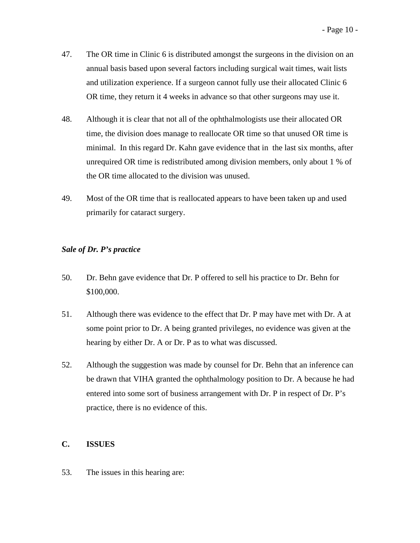- 47. The OR time in Clinic 6 is distributed amongst the surgeons in the division on an annual basis based upon several factors including surgical wait times, wait lists and utilization experience. If a surgeon cannot fully use their allocated Clinic 6 OR time, they return it 4 weeks in advance so that other surgeons may use it.
- 48. Although it is clear that not all of the ophthalmologists use their allocated OR time, the division does manage to reallocate OR time so that unused OR time is minimal. In this regard Dr. Kahn gave evidence that in the last six months, after unrequired OR time is redistributed among division members, only about 1 % of the OR time allocated to the division was unused.
- 49. Most of the OR time that is reallocated appears to have been taken up and used primarily for cataract surgery.

### *Sale of Dr. P's practice*

- 50. Dr. Behn gave evidence that Dr. P offered to sell his practice to Dr. Behn for \$100,000.
- 51. Although there was evidence to the effect that Dr. P may have met with Dr. A at some point prior to Dr. A being granted privileges, no evidence was given at the hearing by either Dr. A or Dr. P as to what was discussed.
- 52. Although the suggestion was made by counsel for Dr. Behn that an inference can be drawn that VIHA granted the ophthalmology position to Dr. A because he had entered into some sort of business arrangement with Dr. P in respect of Dr. P's practice, there is no evidence of this.

### **C. ISSUES**

53. The issues in this hearing are: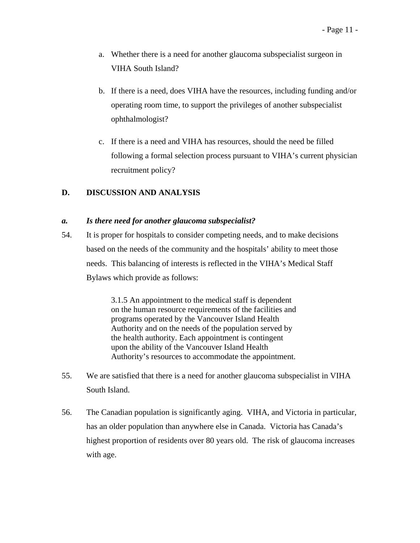- a. Whether there is a need for another glaucoma subspecialist surgeon in VIHA South Island?
- b. If there is a need, does VIHA have the resources, including funding and/or operating room time, to support the privileges of another subspecialist ophthalmologist?
- c. If there is a need and VIHA has resources, should the need be filled following a formal selection process pursuant to VIHA's current physician recruitment policy?

# **D. DISCUSSION AND ANALYSIS**

### *a. Is there need for another glaucoma subspecialist?*

54. It is proper for hospitals to consider competing needs, and to make decisions based on the needs of the community and the hospitals' ability to meet those needs. This balancing of interests is reflected in the VIHA's Medical Staff Bylaws which provide as follows:

> 3.1.5 An appointment to the medical staff is dependent on the human resource requirements of the facilities and programs operated by the Vancouver Island Health Authority and on the needs of the population served by the health authority. Each appointment is contingent upon the ability of the Vancouver Island Health Authority's resources to accommodate the appointment.

- 55. We are satisfied that there is a need for another glaucoma subspecialist in VIHA South Island.
- 56. The Canadian population is significantly aging. VIHA, and Victoria in particular, has an older population than anywhere else in Canada. Victoria has Canada's highest proportion of residents over 80 years old. The risk of glaucoma increases with age.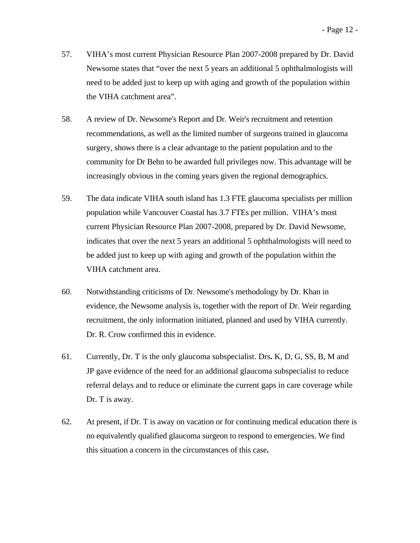- 57. VIHA's most current Physician Resource Plan 2007-2008 prepared by Dr. David Newsome states that "over the next 5 years an additional 5 ophthalmologists will need to be added just to keep up with aging and growth of the population within the VIHA catchment area".
- 58. A review of Dr. Newsome's Report and Dr. Weir's recruitment and retention recommendations, as well as the limited number of surgeons trained in glaucoma surgery, shows there is a clear advantage to the patient population and to the community for Dr Behn to be awarded full privileges now. This advantage will be increasingly obvious in the coming years given the regional demographics.
- 59. The data indicate VIHA south island has 1.3 FTE glaucoma specialists per million population while Vancouver Coastal has 3.7 FTEs per million. VIHA's most current Physician Resource Plan 2007-2008, prepared by Dr. David Newsome, indicates that over the next 5 years an additional 5 ophthalmologists will need to be added just to keep up with aging and growth of the population within the VIHA catchment area.
- 60. Notwithstanding criticisms of Dr. Newsome's methodology by Dr. Khan in evidence, the Newsome analysis is, together with the report of Dr. Weir regarding recruitment, the only information initiated, planned and used by VIHA currently. Dr. R. Crow confirmed this in evidence.
- 61. Currently, Dr. T is the only glaucoma subspecialist. Drs**.** K, D, G, SS, B, M and JP gave evidence of the need for an additional glaucoma subspecialist to reduce referral delays and to reduce or eliminate the current gaps in care coverage while Dr. T is away.
- 62. At present, if Dr. T is away on vacation or for continuing medical education there is no equivalently qualified glaucoma surgeon to respond to emergencies. We find this situation a concern in the circumstances of this case**.**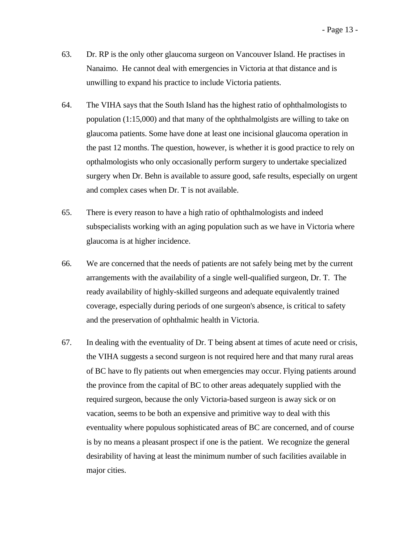- 63. Dr. RP is the only other glaucoma surgeon on Vancouver Island. He practises in Nanaimo. He cannot deal with emergencies in Victoria at that distance and is unwilling to expand his practice to include Victoria patients.
- 64. The VIHA says that the South Island has the highest ratio of ophthalmologists to population (1:15,000) and that many of the ophthalmolgists are willing to take on glaucoma patients. Some have done at least one incisional glaucoma operation in the past 12 months. The question, however, is whether it is good practice to rely on opthalmologists who only occasionally perform surgery to undertake specialized surgery when Dr. Behn is available to assure good, safe results, especially on urgent and complex cases when Dr. T is not available.
- 65. There is every reason to have a high ratio of ophthalmologists and indeed subspecialists working with an aging population such as we have in Victoria where glaucoma is at higher incidence.
- 66. We are concerned that the needs of patients are not safely being met by the current arrangements with the availability of a single well-qualified surgeon, Dr. T. The ready availability of highly-skilled surgeons and adequate equivalently trained coverage, especially during periods of one surgeon's absence, is critical to safety and the preservation of ophthalmic health in Victoria.
- 67. In dealing with the eventuality of Dr. T being absent at times of acute need or crisis, the VIHA suggests a second surgeon is not required here and that many rural areas of BC have to fly patients out when emergencies may occur. Flying patients around the province from the capital of BC to other areas adequately supplied with the required surgeon, because the only Victoria-based surgeon is away sick or on vacation, seems to be both an expensive and primitive way to deal with this eventuality where populous sophisticated areas of BC are concerned, and of course is by no means a pleasant prospect if one is the patient. We recognize the general desirability of having at least the minimum number of such facilities available in major cities.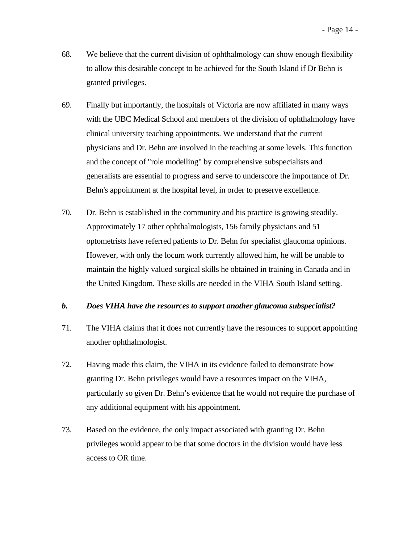- 68. We believe that the current division of ophthalmology can show enough flexibility to allow this desirable concept to be achieved for the South Island if Dr Behn is granted privileges.
- 69. Finally but importantly, the hospitals of Victoria are now affiliated in many ways with the UBC Medical School and members of the division of ophthalmology have clinical university teaching appointments. We understand that the current physicians and Dr. Behn are involved in the teaching at some levels. This function and the concept of "role modelling" by comprehensive subspecialists and generalists are essential to progress and serve to underscore the importance of Dr. Behn's appointment at the hospital level, in order to preserve excellence.
- 70. Dr. Behn is established in the community and his practice is growing steadily. Approximately 17 other ophthalmologists, 156 family physicians and 51 optometrists have referred patients to Dr. Behn for specialist glaucoma opinions. However, with only the locum work currently allowed him, he will be unable to maintain the highly valued surgical skills he obtained in training in Canada and in the United Kingdom. These skills are needed in the VIHA South Island setting.

### *b. Does VIHA have the resources to support another glaucoma subspecialist?*

- 71. The VIHA claims that it does not currently have the resources to support appointing another ophthalmologist.
- 72. Having made this claim, the VIHA in its evidence failed to demonstrate how granting Dr. Behn privileges would have a resources impact on the VIHA, particularly so given Dr. Behn's evidence that he would not require the purchase of any additional equipment with his appointment.
- 73. Based on the evidence, the only impact associated with granting Dr. Behn privileges would appear to be that some doctors in the division would have less access to OR time.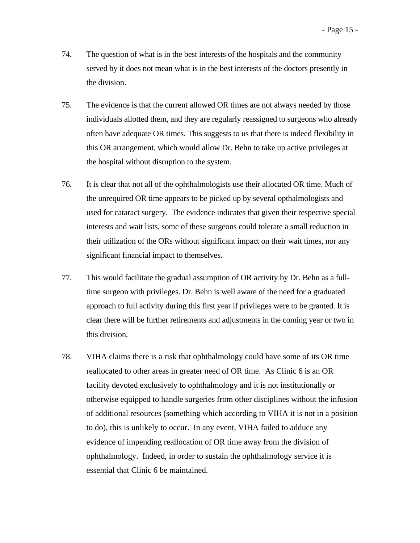- 74. The question of what is in the best interests of the hospitals and the community served by it does not mean what is in the best interests of the doctors presently in the division.
- 75. The evidence is that the current allowed OR times are not always needed by those individuals allotted them, and they are regularly reassigned to surgeons who already often have adequate OR times. This suggests to us that there is indeed flexibility in this OR arrangement, which would allow Dr. Behn to take up active privileges at the hospital without disruption to the system.
- 76. It is clear that not all of the ophthalmologists use their allocated OR time. Much of the unrequired OR time appears to be picked up by several opthalmologists and used for cataract surgery. The evidence indicates that given their respective special interests and wait lists, some of these surgeons could tolerate a small reduction in their utilization of the ORs without significant impact on their wait times, nor any significant financial impact to themselves.
- 77. This would facilitate the gradual assumption of OR activity by Dr. Behn as a fulltime surgeon with privileges. Dr. Behn is well aware of the need for a graduated approach to full activity during this first year if privileges were to be granted. It is clear there will be further retirements and adjustments in the coming year or two in this division.
- 78. VIHA claims there is a risk that ophthalmology could have some of its OR time reallocated to other areas in greater need of OR time. As Clinic 6 is an OR facility devoted exclusively to ophthalmology and it is not institutionally or otherwise equipped to handle surgeries from other disciplines without the infusion of additional resources (something which according to VIHA it is not in a position to do), this is unlikely to occur. In any event, VIHA failed to adduce any evidence of impending reallocation of OR time away from the division of ophthalmology. Indeed, in order to sustain the ophthalmology service it is essential that Clinic 6 be maintained.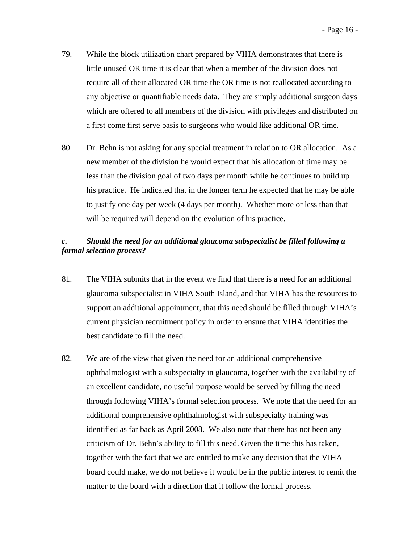- 79. While the block utilization chart prepared by VIHA demonstrates that there is little unused OR time it is clear that when a member of the division does not require all of their allocated OR time the OR time is not reallocated according to any objective or quantifiable needs data. They are simply additional surgeon days which are offered to all members of the division with privileges and distributed on a first come first serve basis to surgeons who would like additional OR time.
- 80. Dr. Behn is not asking for any special treatment in relation to OR allocation. As a new member of the division he would expect that his allocation of time may be less than the division goal of two days per month while he continues to build up his practice. He indicated that in the longer term he expected that he may be able to justify one day per week (4 days per month). Whether more or less than that will be required will depend on the evolution of his practice.

## *c. Should the need for an additional glaucoma subspecialist be filled following a formal selection process?*

- 81. The VIHA submits that in the event we find that there is a need for an additional glaucoma subspecialist in VIHA South Island, and that VIHA has the resources to support an additional appointment, that this need should be filled through VIHA's current physician recruitment policy in order to ensure that VIHA identifies the best candidate to fill the need.
- 82. We are of the view that given the need for an additional comprehensive ophthalmologist with a subspecialty in glaucoma, together with the availability of an excellent candidate, no useful purpose would be served by filling the need through following VIHA's formal selection process. We note that the need for an additional comprehensive ophthalmologist with subspecialty training was identified as far back as April 2008. We also note that there has not been any criticism of Dr. Behn's ability to fill this need. Given the time this has taken, together with the fact that we are entitled to make any decision that the VIHA board could make, we do not believe it would be in the public interest to remit the matter to the board with a direction that it follow the formal process.